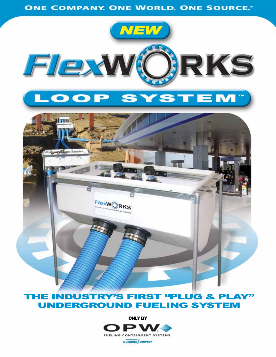**ONE COMPANY. ONE WORLD. ONE SOURCE."** 



## **UNDERGROUND FUELING SYSTEM**

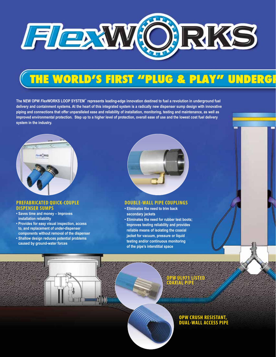

# THE WORLD'S FIRST "PLUG & PLAY" UNDERGI

**The NEW OPW** *Flex***WORKS LOOP SYSTEM™ represents leading-edge innovation destined to fuel a revolution in underground fuel delivery and containment systems. At the heart of this integrated system is a radically new dispenser sump design with innovative piping and connections that offer unparalleled ease and reliability of installation, monitoring, testing and maintenance, as well as improved environmental protection. Step up to a higher level of protection, overall ease of use and the lowest cost fuel delivery system in the industry.** 



#### **PREFABRICATED QUICK-COUPLE DISPENSER SUMPS**

- **Saves time and money Improves installation reliability**
- **Provides for easy visual inspection, access to, and replacement of under-dispenser components without removal of the dispenser**
- **Shallow design reduces potential problems caused by ground-water forces**



### **DOUBLE-WALL PIPE COUPLINGS**

- **Eliminates the need to trim back secondary jackets**
- **Eliminates the need for rubber test boots; Improves testing reliability and provides reliable means of isolating the coaxial jacket for vacuum, pressure or liquid testing and/or continuous monitoring of the pipe's interstitial space**

**OPW UL971 LISTED COAXIAL PIPE**



### **OPW CRUSH RESISTANT, DUAL-WALL ACCESS PIPE**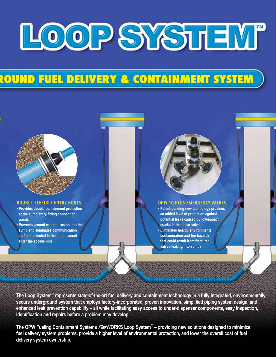

## ROUND FUEL DELIVERY & CONTAINMENT SYSTEM

### **DOUBLE-FLEXIBLE ENTRY BOOTS**

- **Provides double containment protection at the sump/entry fitting connection points**
- **Prevents ground water intrusion into the sump and eliminates communication so fluid collected in the sump cannot enter the access pipe**



### **OPW 10 PLUS EMERGENCY VALVES**

**• Patent-pending new technology provides an added level of protection against potential leaks caused by low-impact cracks in the shear valve • Eliminates health, environmental contamination and fire hazards that could result from fractured valves leaking into sumps**

**The Loop System™ represents state-of-the-art fuel delivery and containment technology in a fully integrated, environmentally secure underground system that employs factory-incorporated, proven innovation, simplified piping system design, and enhanced leak prevention capability – all while facilitating easy access to under-dispenser components, easy inspection, identification and repairs before a problem may develop.**

**The OPW Fueling Containment Systems** *Flex***WORKS Loop System™ – providing new solutions designed to minimize fuel delivery system problems, provide a higher level of environmental protection, and lower the overall cost of fuel delivery system ownership.**